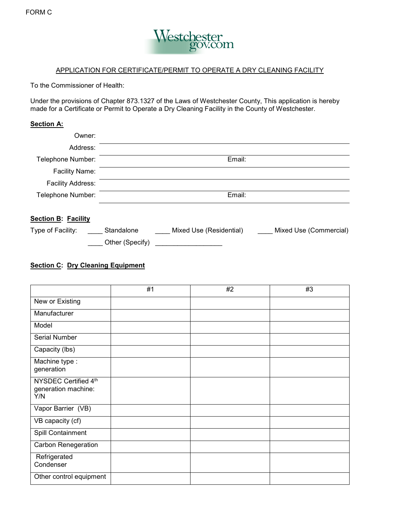

### APPLICATION FOR CERTIFICATE/PERMIT TO OPERATE A DRY CLEANING FACILITY

To the Commissioner of Health:

 Under the provisions of Chapter 873.1327 of the Laws of Westchester County, This application is hereby made for a Certificate or Permit to Operate a Dry Cleaning Facility in the County of Westchester.

### **Section A:**

| Owner:                     |            |                         |                        |
|----------------------------|------------|-------------------------|------------------------|
| Address:                   |            |                         |                        |
| Telephone Number:          |            | Email:                  |                        |
| <b>Facility Name:</b>      |            |                         |                        |
| <b>Facility Address:</b>   |            |                         |                        |
| Telephone Number:          |            | Email:                  |                        |
| <b>Section B: Facility</b> |            |                         |                        |
| Type of Facility:          | Standalone | Mixed Use (Residential) | Mixed Use (Commercial) |

# \_\_\_\_ Other (Specify) \_\_\_\_\_\_\_\_\_\_\_\_\_\_\_\_\_\_

## **Section C: Dry Cleaning Equipment**

|                                                    | #1 | #2 | #3 |
|----------------------------------------------------|----|----|----|
| New or Existing                                    |    |    |    |
| Manufacturer                                       |    |    |    |
| Model                                              |    |    |    |
| Serial Number                                      |    |    |    |
| Capacity (lbs)                                     |    |    |    |
| Machine type :<br>generation                       |    |    |    |
| NYSDEC Certified 4th<br>generation machine:<br>Y/N |    |    |    |
| Vapor Barrier (VB)                                 |    |    |    |
| VB capacity (cf)                                   |    |    |    |
| Spill Containment                                  |    |    |    |
| <b>Carbon Renegeration</b>                         |    |    |    |
| Refrigerated<br>Condenser                          |    |    |    |
| Other control equipment                            |    |    |    |